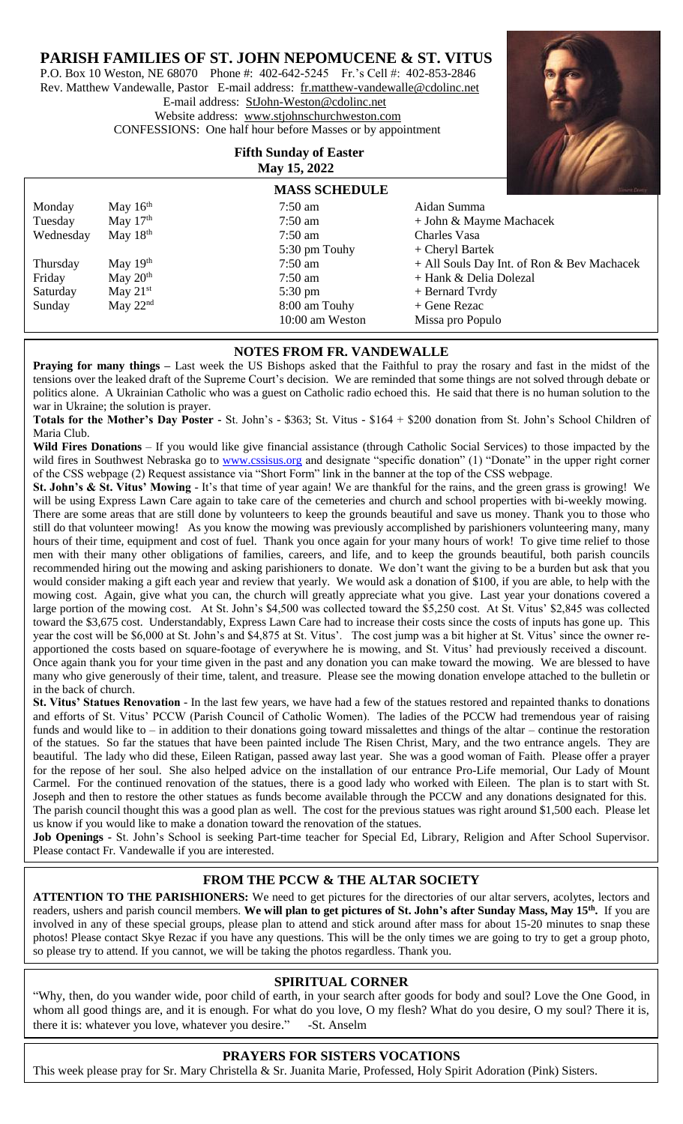## **PARISH FAMILIES OF ST. JOHN NEPOMUCENE & ST. VITUS**

P.O. Box 10 Weston, NE 68070 Phone #: 402-642-5245 Fr.'s Cell #: 402-853-2846 Rev. Matthew Vandewalle, Pastor E-mail address: [fr.matthew-vandewalle@cdolinc.net](mailto:fr.matthew-vandewalle@cdolinc.net) E-mail address: [StJohn-Weston@cdolinc.net](mailto:StJohn-Weston@cdolinc.net)  Website address: [www.stjohnschurchweston.com](http://www.stjohnschurchweston.com/)  CONFESSIONS: One half hour before Masses or by appointment

> **Fifth Sunday of Easter May 15, 2022**



|           |            | <b>MASS SCHEDULE</b> | Nimmt Divery                               |  |
|-----------|------------|----------------------|--------------------------------------------|--|
| Monday    | May $16th$ | $7:50$ am            | Aidan Summa                                |  |
| Tuesday   | May $17th$ | $7:50$ am            | + John & Mayme Machacek                    |  |
| Wednesday | May $18th$ | $7:50$ am            | Charles Vasa                               |  |
|           |            | 5:30 pm Touhy        | $+$ Cheryl Bartek                          |  |
| Thursday  | May $19th$ | $7:50$ am            | + All Souls Day Int. of Ron & Bev Machacek |  |
| Friday    | May $20th$ | $7:50$ am            | + Hank & Delia Dolezal                     |  |
| Saturday  | May $21st$ | $5:30 \text{ pm}$    | + Bernard Tvrdy                            |  |
| Sunday    | May $22nd$ | 8:00 am Touhy        | $+$ Gene Rezac                             |  |
|           |            | 10:00 am Weston      | Missa pro Populo                           |  |
|           |            |                      |                                            |  |

### **NOTES FROM FR. VANDEWALLE**

**Praying for many things** – Last week the US Bishops asked that the Faithful to pray the rosary and fast in the midst of the tensions over the leaked draft of the Supreme Court's decision. We are reminded that some things are not solved through debate or politics alone. A Ukrainian Catholic who was a guest on Catholic radio echoed this. He said that there is no human solution to the war in Ukraine; the solution is prayer.

**Totals for the Mother's Day Poster -** St. John's - \$363; St. Vitus - \$164 + \$200 donation from St. John's School Children of Maria Club.

**Wild Fires Donations** – If you would like give financial assistance (through Catholic Social Services) to those impacted by the wild fires in Southwest Nebraska go to [www.cssisus.org](http://www.cssisus.org/) and designate "specific donation" (1) "Donate" in the upper right corner of the CSS webpage (2) Request assistance via "Short Form" link in the banner at the top of the CSS webpage.

**St. John's & St. Vitus' Mowing** - It's that time of year again! We are thankful for the rains, and the green grass is growing! We will be using Express Lawn Care again to take care of the cemeteries and church and school properties with bi-weekly mowing. There are some areas that are still done by volunteers to keep the grounds beautiful and save us money. Thank you to those who still do that volunteer mowing! As you know the mowing was previously accomplished by parishioners volunteering many, many hours of their time, equipment and cost of fuel. Thank you once again for your many hours of work! To give time relief to those men with their many other obligations of families, careers, and life, and to keep the grounds beautiful, both parish councils recommended hiring out the mowing and asking parishioners to donate. We don't want the giving to be a burden but ask that you would consider making a gift each year and review that yearly. We would ask a donation of \$100, if you are able, to help with the mowing cost. Again, give what you can, the church will greatly appreciate what you give. Last year your donations covered a large portion of the mowing cost. At St. John's \$4,500 was collected toward the \$5,250 cost. At St. Vitus' \$2,845 was collected toward the \$3,675 cost. Understandably, Express Lawn Care had to increase their costs since the costs of inputs has gone up. This year the cost will be \$6,000 at St. John's and \$4,875 at St. Vitus'. The cost jump was a bit higher at St. Vitus' since the owner reapportioned the costs based on square-footage of everywhere he is mowing, and St. Vitus' had previously received a discount. Once again thank you for your time given in the past and any donation you can make toward the mowing. We are blessed to have many who give generously of their time, talent, and treasure. Please see the mowing donation envelope attached to the bulletin or in the back of church.

**St. Vitus' Statues Renovation** - In the last few years, we have had a few of the statues restored and repainted thanks to donations and efforts of St. Vitus' PCCW (Parish Council of Catholic Women). The ladies of the PCCW had tremendous year of raising funds and would like to – in addition to their donations going toward missalettes and things of the altar – continue the restoration of the statues. So far the statues that have been painted include The Risen Christ, Mary, and the two entrance angels. They are beautiful. The lady who did these, Eileen Ratigan, passed away last year. She was a good woman of Faith. Please offer a prayer for the repose of her soul. She also helped advice on the installation of our entrance Pro-Life memorial, Our Lady of Mount Carmel. For the continued renovation of the statues, there is a good lady who worked with Eileen. The plan is to start with St. Joseph and then to restore the other statues as funds become available through the PCCW and any donations designated for this. The parish council thought this was a good plan as well. The cost for the previous statues was right around \$1,500 each. Please let us know if you would like to make a donation toward the renovation of the statues.

**Job Openings -** St. John's School is seeking Part-time teacher for Special Ed, Library, Religion and After School Supervisor. Please contact Fr. Vandewalle if you are interested.

## **FROM THE PCCW & THE ALTAR SOCIETY**

**`** involved in any of these special groups, please plan to attend and stick around after mass for about 15-20 minutes to snap these **ATTENTION TO THE PARISHIONERS:** We need to get pictures for the directories of our altar servers, acolytes, lectors and readers, ushers and parish council members. **We will plan to get pictures of St. John's after Sunday Mass, May 15th .** If you are photos! Please contact Skye Rezac if you have any questions. This will be the only times we are going to try to get a group photo, so please try to attend. If you cannot, we will be taking the photos regardless. Thank you.

## **SPIRITUAL CORNER**

"Why, then, do you wander wide, poor child of earth, in your search after goods for body and soul? Love the One Good, in whom all good things are, and it is enough. For what do you love, O my flesh? What do you desire, O my soul? There it is, there it is: whatever you love, whatever you desire.["](https://www.inspiringquotes.us/quotes/0wYn_YNVjOk74)-St. Anselm

## **PRAYERS FOR SISTERS VOCATIONS**

Ï This week please pray for Sr. Mary Christella & Sr. Juanita Marie, Professed, Holy Spirit Adoration (Pink) Sisters.

ׇׇ֖֬